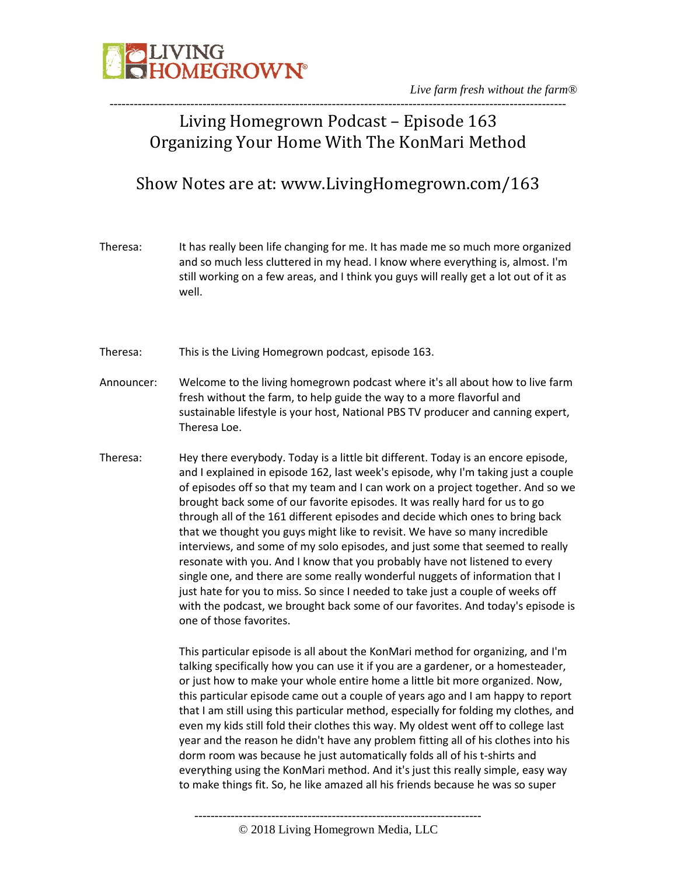

# ----------------------------------------------------------------------------------------------------------------- Living Homegrown Podcast – Episode 163 Organizing Your Home With The KonMari Method

# Show Notes are at: www.LivingHomegrown.com/163

| Theresa:   | It has really been life changing for me. It has made me so much more organized<br>and so much less cluttered in my head. I know where everything is, almost. I'm<br>still working on a few areas, and I think you guys will really get a lot out of it as<br>well.                                                                                                                                                                                                                                                                                                                                                                                                                                                                                                                                                                                                                                                                                       |
|------------|----------------------------------------------------------------------------------------------------------------------------------------------------------------------------------------------------------------------------------------------------------------------------------------------------------------------------------------------------------------------------------------------------------------------------------------------------------------------------------------------------------------------------------------------------------------------------------------------------------------------------------------------------------------------------------------------------------------------------------------------------------------------------------------------------------------------------------------------------------------------------------------------------------------------------------------------------------|
| Theresa:   | This is the Living Homegrown podcast, episode 163.                                                                                                                                                                                                                                                                                                                                                                                                                                                                                                                                                                                                                                                                                                                                                                                                                                                                                                       |
| Announcer: | Welcome to the living homegrown podcast where it's all about how to live farm<br>fresh without the farm, to help guide the way to a more flavorful and<br>sustainable lifestyle is your host, National PBS TV producer and canning expert,<br>Theresa Loe.                                                                                                                                                                                                                                                                                                                                                                                                                                                                                                                                                                                                                                                                                               |
| Theresa:   | Hey there everybody. Today is a little bit different. Today is an encore episode,<br>and I explained in episode 162, last week's episode, why I'm taking just a couple<br>of episodes off so that my team and I can work on a project together. And so we<br>brought back some of our favorite episodes. It was really hard for us to go<br>through all of the 161 different episodes and decide which ones to bring back<br>that we thought you guys might like to revisit. We have so many incredible<br>interviews, and some of my solo episodes, and just some that seemed to really<br>resonate with you. And I know that you probably have not listened to every<br>single one, and there are some really wonderful nuggets of information that I<br>just hate for you to miss. So since I needed to take just a couple of weeks off<br>with the podcast, we brought back some of our favorites. And today's episode is<br>one of those favorites. |
|            | This particular episode is all about the KonMari method for organizing, and I'm<br>talking specifically how you can use it if you are a gardener, or a homesteader,<br>or just how to make your whole entire home a little bit more organized. Now,<br>this particular episode came out a couple of years ago and I am happy to report<br>that I am still using this particular method, especially for folding my clothes, and<br>even my kids still fold their clothes this way. My oldest went off to college last<br>year and the reason he didn't have any problem fitting all of his clothes into his<br>dorm room was because he just automatically folds all of his t-shirts and<br>everything using the KonMari method. And it's just this really simple, easy way                                                                                                                                                                               |

to make things fit. So, he like amazed all his friends because he was so super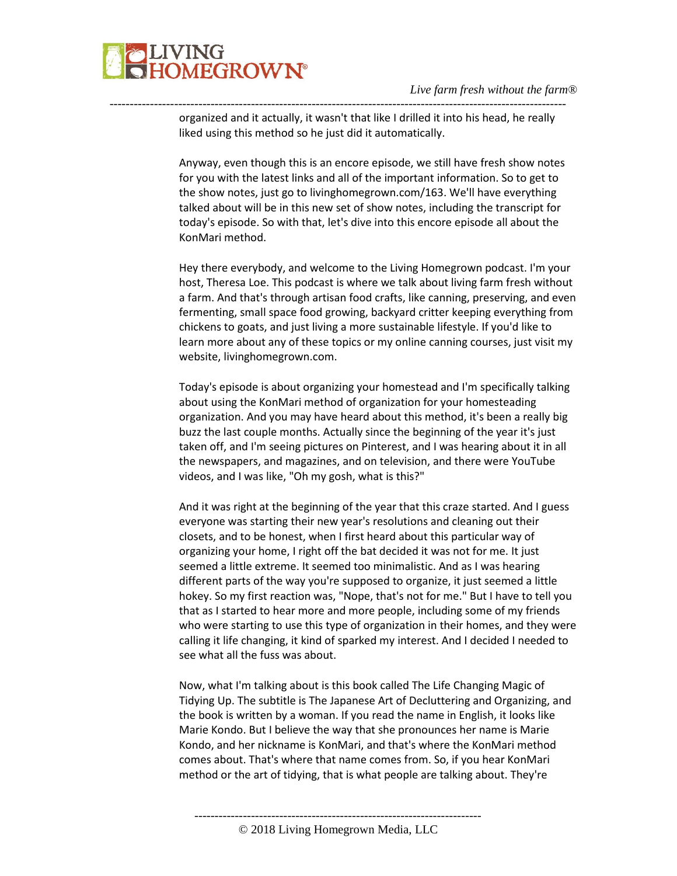

organized and it actually, it wasn't that like I drilled it into his head, he really liked using this method so he just did it automatically.

-----------------------------------------------------------------------------------------------------------------

Anyway, even though this is an encore episode, we still have fresh show notes for you with the latest links and all of the important information. So to get to the show notes, just go to livinghomegrown.com/163. We'll have everything talked about will be in this new set of show notes, including the transcript for today's episode. So with that, let's dive into this encore episode all about the KonMari method.

Hey there everybody, and welcome to the Living Homegrown podcast. I'm your host, Theresa Loe. This podcast is where we talk about living farm fresh without a farm. And that's through artisan food crafts, like canning, preserving, and even fermenting, small space food growing, backyard critter keeping everything from chickens to goats, and just living a more sustainable lifestyle. If you'd like to learn more about any of these topics or my online canning courses, just visit my website, livinghomegrown.com.

Today's episode is about organizing your homestead and I'm specifically talking about using the KonMari method of organization for your homesteading organization. And you may have heard about this method, it's been a really big buzz the last couple months. Actually since the beginning of the year it's just taken off, and I'm seeing pictures on Pinterest, and I was hearing about it in all the newspapers, and magazines, and on television, and there were YouTube videos, and I was like, "Oh my gosh, what is this?"

And it was right at the beginning of the year that this craze started. And I guess everyone was starting their new year's resolutions and cleaning out their closets, and to be honest, when I first heard about this particular way of organizing your home, I right off the bat decided it was not for me. It just seemed a little extreme. It seemed too minimalistic. And as I was hearing different parts of the way you're supposed to organize, it just seemed a little hokey. So my first reaction was, "Nope, that's not for me." But I have to tell you that as I started to hear more and more people, including some of my friends who were starting to use this type of organization in their homes, and they were calling it life changing, it kind of sparked my interest. And I decided I needed to see what all the fuss was about.

Now, what I'm talking about is this book called The Life Changing Magic of Tidying Up. The subtitle is The Japanese Art of Decluttering and Organizing, and the book is written by a woman. If you read the name in English, it looks like Marie Kondo. But I believe the way that she pronounces her name is Marie Kondo, and her nickname is KonMari, and that's where the KonMari method comes about. That's where that name comes from. So, if you hear KonMari method or the art of tidying, that is what people are talking about. They're

© 2018 Living Homegrown Media, LLC

-----------------------------------------------------------------------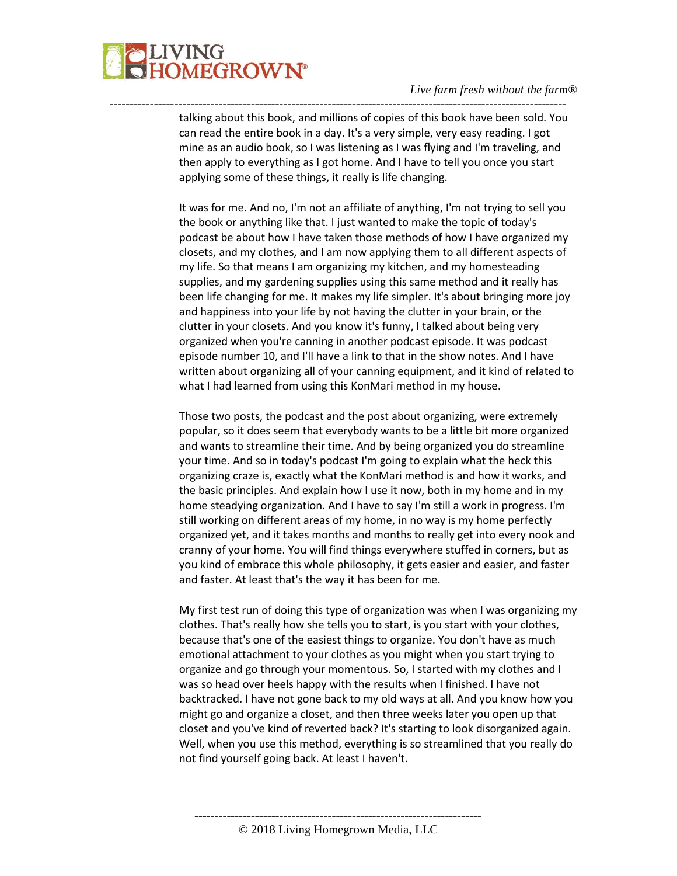

talking about this book, and millions of copies of this book have been sold. You can read the entire book in a day. It's a very simple, very easy reading. I got mine as an audio book, so I was listening as I was flying and I'm traveling, and then apply to everything as I got home. And I have to tell you once you start applying some of these things, it really is life changing.

-----------------------------------------------------------------------------------------------------------------

It was for me. And no, I'm not an affiliate of anything, I'm not trying to sell you the book or anything like that. I just wanted to make the topic of today's podcast be about how I have taken those methods of how I have organized my closets, and my clothes, and I am now applying them to all different aspects of my life. So that means I am organizing my kitchen, and my homesteading supplies, and my gardening supplies using this same method and it really has been life changing for me. It makes my life simpler. It's about bringing more joy and happiness into your life by not having the clutter in your brain, or the clutter in your closets. And you know it's funny, I talked about being very organized when you're canning in another podcast episode. It was podcast episode number 10, and I'll have a link to that in the show notes. And I have written about organizing all of your canning equipment, and it kind of related to what I had learned from using this KonMari method in my house.

Those two posts, the podcast and the post about organizing, were extremely popular, so it does seem that everybody wants to be a little bit more organized and wants to streamline their time. And by being organized you do streamline your time. And so in today's podcast I'm going to explain what the heck this organizing craze is, exactly what the KonMari method is and how it works, and the basic principles. And explain how I use it now, both in my home and in my home steadying organization. And I have to say I'm still a work in progress. I'm still working on different areas of my home, in no way is my home perfectly organized yet, and it takes months and months to really get into every nook and cranny of your home. You will find things everywhere stuffed in corners, but as you kind of embrace this whole philosophy, it gets easier and easier, and faster and faster. At least that's the way it has been for me.

My first test run of doing this type of organization was when I was organizing my clothes. That's really how she tells you to start, is you start with your clothes, because that's one of the easiest things to organize. You don't have as much emotional attachment to your clothes as you might when you start trying to organize and go through your momentous. So, I started with my clothes and I was so head over heels happy with the results when I finished. I have not backtracked. I have not gone back to my old ways at all. And you know how you might go and organize a closet, and then three weeks later you open up that closet and you've kind of reverted back? It's starting to look disorganized again. Well, when you use this method, everything is so streamlined that you really do not find yourself going back. At least I haven't.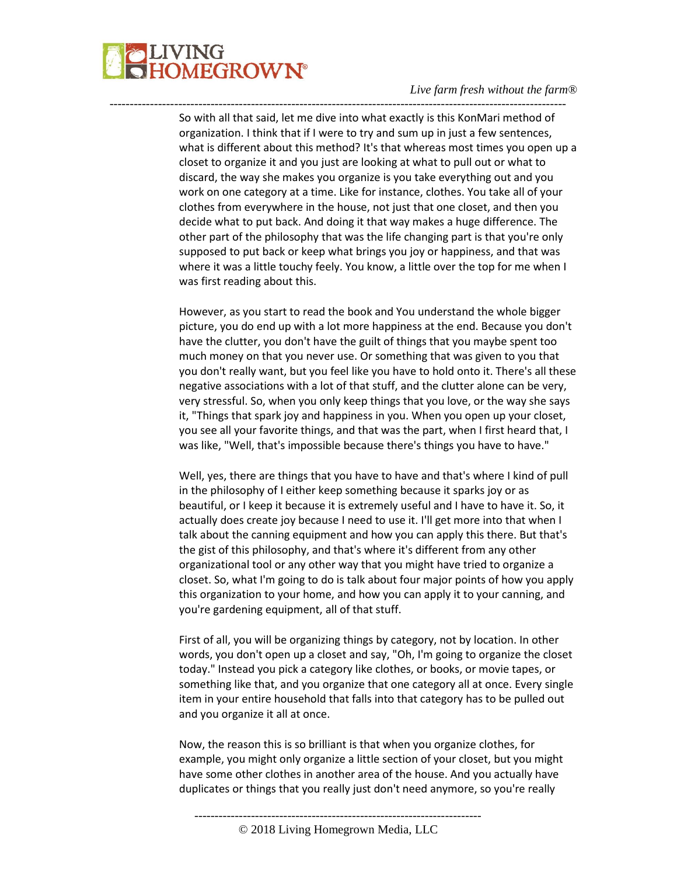

So with all that said, let me dive into what exactly is this KonMari method of organization. I think that if I were to try and sum up in just a few sentences, what is different about this method? It's that whereas most times you open up a closet to organize it and you just are looking at what to pull out or what to discard, the way she makes you organize is you take everything out and you work on one category at a time. Like for instance, clothes. You take all of your clothes from everywhere in the house, not just that one closet, and then you decide what to put back. And doing it that way makes a huge difference. The other part of the philosophy that was the life changing part is that you're only supposed to put back or keep what brings you joy or happiness, and that was where it was a little touchy feely. You know, a little over the top for me when I was first reading about this.

-----------------------------------------------------------------------------------------------------------------

However, as you start to read the book and You understand the whole bigger picture, you do end up with a lot more happiness at the end. Because you don't have the clutter, you don't have the guilt of things that you maybe spent too much money on that you never use. Or something that was given to you that you don't really want, but you feel like you have to hold onto it. There's all these negative associations with a lot of that stuff, and the clutter alone can be very, very stressful. So, when you only keep things that you love, or the way she says it, "Things that spark joy and happiness in you. When you open up your closet, you see all your favorite things, and that was the part, when I first heard that, I was like, "Well, that's impossible because there's things you have to have."

Well, yes, there are things that you have to have and that's where I kind of pull in the philosophy of I either keep something because it sparks joy or as beautiful, or I keep it because it is extremely useful and I have to have it. So, it actually does create joy because I need to use it. I'll get more into that when I talk about the canning equipment and how you can apply this there. But that's the gist of this philosophy, and that's where it's different from any other organizational tool or any other way that you might have tried to organize a closet. So, what I'm going to do is talk about four major points of how you apply this organization to your home, and how you can apply it to your canning, and you're gardening equipment, all of that stuff.

First of all, you will be organizing things by category, not by location. In other words, you don't open up a closet and say, "Oh, I'm going to organize the closet today." Instead you pick a category like clothes, or books, or movie tapes, or something like that, and you organize that one category all at once. Every single item in your entire household that falls into that category has to be pulled out and you organize it all at once.

Now, the reason this is so brilliant is that when you organize clothes, for example, you might only organize a little section of your closet, but you might have some other clothes in another area of the house. And you actually have duplicates or things that you really just don't need anymore, so you're really

-----------------------------------------------------------------------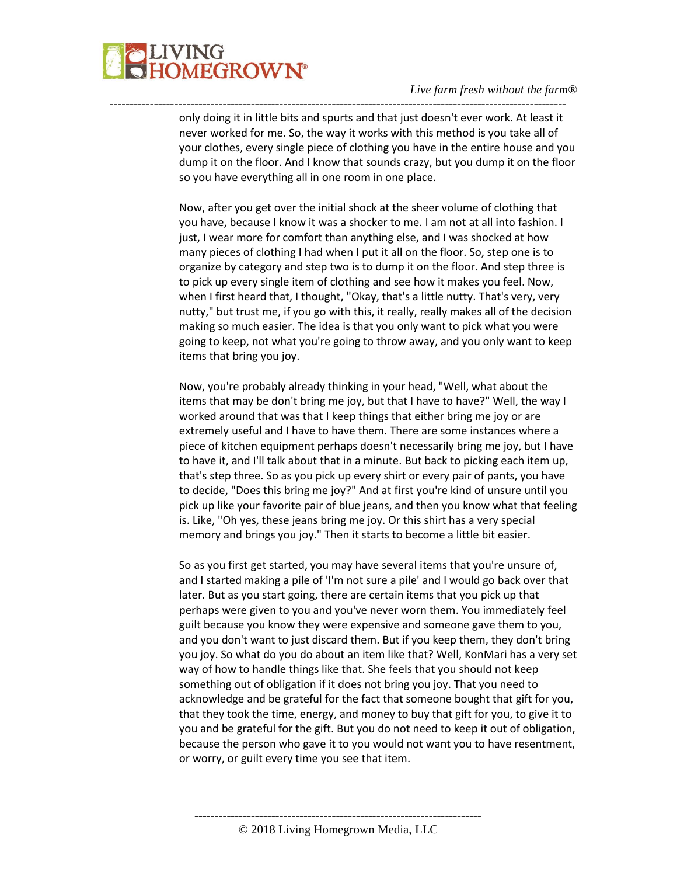

only doing it in little bits and spurts and that just doesn't ever work. At least it never worked for me. So, the way it works with this method is you take all of your clothes, every single piece of clothing you have in the entire house and you dump it on the floor. And I know that sounds crazy, but you dump it on the floor so you have everything all in one room in one place.

-----------------------------------------------------------------------------------------------------------------

Now, after you get over the initial shock at the sheer volume of clothing that you have, because I know it was a shocker to me. I am not at all into fashion. I just, I wear more for comfort than anything else, and I was shocked at how many pieces of clothing I had when I put it all on the floor. So, step one is to organize by category and step two is to dump it on the floor. And step three is to pick up every single item of clothing and see how it makes you feel. Now, when I first heard that, I thought, "Okay, that's a little nutty. That's very, very nutty," but trust me, if you go with this, it really, really makes all of the decision making so much easier. The idea is that you only want to pick what you were going to keep, not what you're going to throw away, and you only want to keep items that bring you joy.

Now, you're probably already thinking in your head, "Well, what about the items that may be don't bring me joy, but that I have to have?" Well, the way I worked around that was that I keep things that either bring me joy or are extremely useful and I have to have them. There are some instances where a piece of kitchen equipment perhaps doesn't necessarily bring me joy, but I have to have it, and I'll talk about that in a minute. But back to picking each item up, that's step three. So as you pick up every shirt or every pair of pants, you have to decide, "Does this bring me joy?" And at first you're kind of unsure until you pick up like your favorite pair of blue jeans, and then you know what that feeling is. Like, "Oh yes, these jeans bring me joy. Or this shirt has a very special memory and brings you joy." Then it starts to become a little bit easier.

So as you first get started, you may have several items that you're unsure of, and I started making a pile of 'I'm not sure a pile' and I would go back over that later. But as you start going, there are certain items that you pick up that perhaps were given to you and you've never worn them. You immediately feel guilt because you know they were expensive and someone gave them to you, and you don't want to just discard them. But if you keep them, they don't bring you joy. So what do you do about an item like that? Well, KonMari has a very set way of how to handle things like that. She feels that you should not keep something out of obligation if it does not bring you joy. That you need to acknowledge and be grateful for the fact that someone bought that gift for you, that they took the time, energy, and money to buy that gift for you, to give it to you and be grateful for the gift. But you do not need to keep it out of obligation, because the person who gave it to you would not want you to have resentment, or worry, or guilt every time you see that item.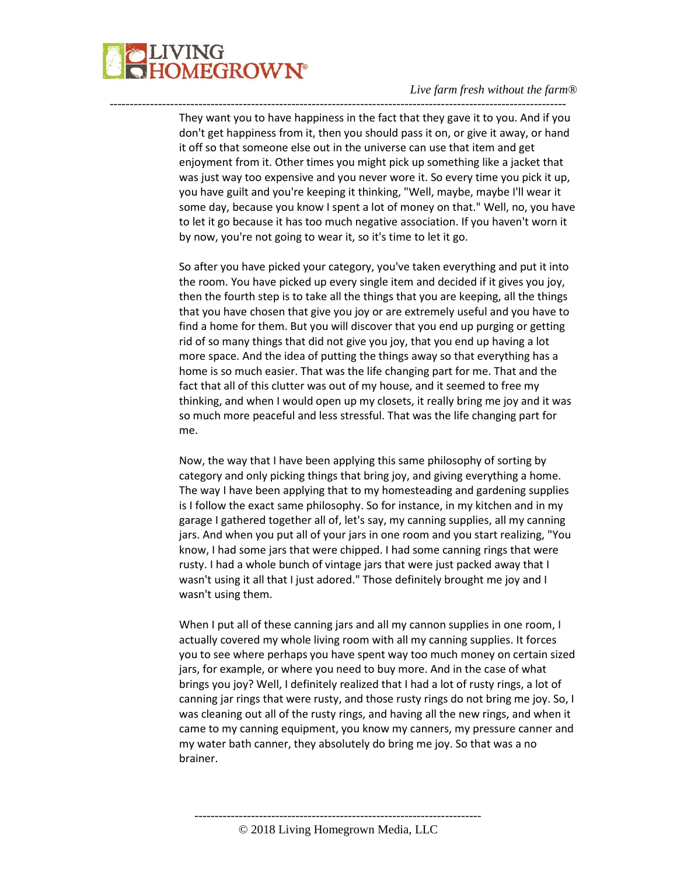

They want you to have happiness in the fact that they gave it to you. And if you don't get happiness from it, then you should pass it on, or give it away, or hand it off so that someone else out in the universe can use that item and get enjoyment from it. Other times you might pick up something like a jacket that was just way too expensive and you never wore it. So every time you pick it up, you have guilt and you're keeping it thinking, "Well, maybe, maybe I'll wear it some day, because you know I spent a lot of money on that." Well, no, you have to let it go because it has too much negative association. If you haven't worn it by now, you're not going to wear it, so it's time to let it go.

-----------------------------------------------------------------------------------------------------------------

So after you have picked your category, you've taken everything and put it into the room. You have picked up every single item and decided if it gives you joy, then the fourth step is to take all the things that you are keeping, all the things that you have chosen that give you joy or are extremely useful and you have to find a home for them. But you will discover that you end up purging or getting rid of so many things that did not give you joy, that you end up having a lot more space. And the idea of putting the things away so that everything has a home is so much easier. That was the life changing part for me. That and the fact that all of this clutter was out of my house, and it seemed to free my thinking, and when I would open up my closets, it really bring me joy and it was so much more peaceful and less stressful. That was the life changing part for me.

Now, the way that I have been applying this same philosophy of sorting by category and only picking things that bring joy, and giving everything a home. The way I have been applying that to my homesteading and gardening supplies is I follow the exact same philosophy. So for instance, in my kitchen and in my garage I gathered together all of, let's say, my canning supplies, all my canning jars. And when you put all of your jars in one room and you start realizing, "You know, I had some jars that were chipped. I had some canning rings that were rusty. I had a whole bunch of vintage jars that were just packed away that I wasn't using it all that I just adored." Those definitely brought me joy and I wasn't using them.

When I put all of these canning jars and all my cannon supplies in one room, I actually covered my whole living room with all my canning supplies. It forces you to see where perhaps you have spent way too much money on certain sized jars, for example, or where you need to buy more. And in the case of what brings you joy? Well, I definitely realized that I had a lot of rusty rings, a lot of canning jar rings that were rusty, and those rusty rings do not bring me joy. So, I was cleaning out all of the rusty rings, and having all the new rings, and when it came to my canning equipment, you know my canners, my pressure canner and my water bath canner, they absolutely do bring me joy. So that was a no brainer.

----------------------------------------------------------------------- © 2018 Living Homegrown Media, LLC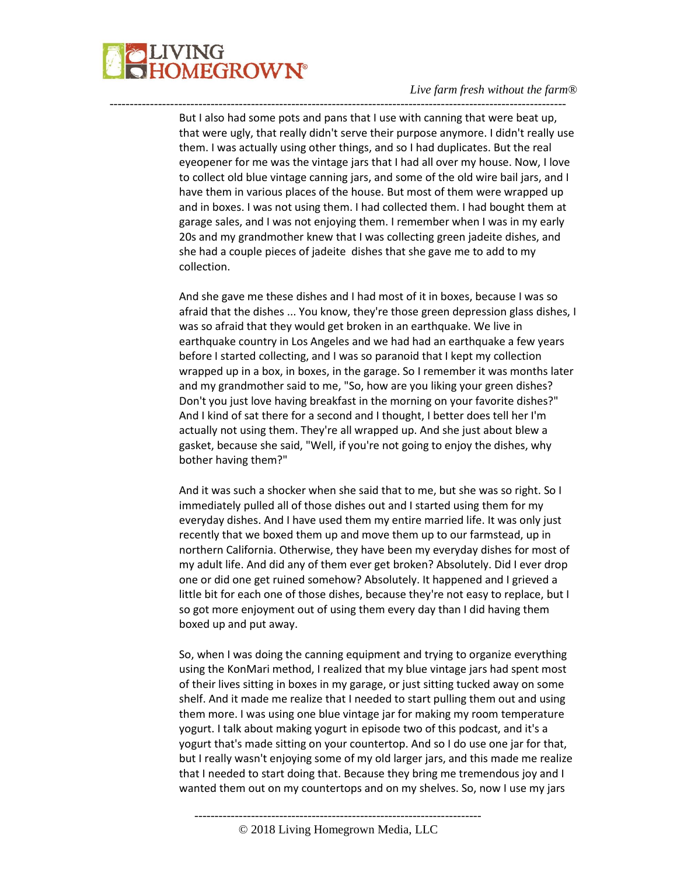

But I also had some pots and pans that I use with canning that were beat up, that were ugly, that really didn't serve their purpose anymore. I didn't really use them. I was actually using other things, and so I had duplicates. But the real eyeopener for me was the vintage jars that I had all over my house. Now, I love to collect old blue vintage canning jars, and some of the old wire bail jars, and I have them in various places of the house. But most of them were wrapped up and in boxes. I was not using them. I had collected them. I had bought them at garage sales, and I was not enjoying them. I remember when I was in my early 20s and my grandmother knew that I was collecting green jadeite dishes, and she had a couple pieces of jadeite dishes that she gave me to add to my collection.

-----------------------------------------------------------------------------------------------------------------

And she gave me these dishes and I had most of it in boxes, because I was so afraid that the dishes ... You know, they're those green depression glass dishes, I was so afraid that they would get broken in an earthquake. We live in earthquake country in Los Angeles and we had had an earthquake a few years before I started collecting, and I was so paranoid that I kept my collection wrapped up in a box, in boxes, in the garage. So I remember it was months later and my grandmother said to me, "So, how are you liking your green dishes? Don't you just love having breakfast in the morning on your favorite dishes?" And I kind of sat there for a second and I thought, I better does tell her I'm actually not using them. They're all wrapped up. And she just about blew a gasket, because she said, "Well, if you're not going to enjoy the dishes, why bother having them?"

And it was such a shocker when she said that to me, but she was so right. So I immediately pulled all of those dishes out and I started using them for my everyday dishes. And I have used them my entire married life. It was only just recently that we boxed them up and move them up to our farmstead, up in northern California. Otherwise, they have been my everyday dishes for most of my adult life. And did any of them ever get broken? Absolutely. Did I ever drop one or did one get ruined somehow? Absolutely. It happened and I grieved a little bit for each one of those dishes, because they're not easy to replace, but I so got more enjoyment out of using them every day than I did having them boxed up and put away.

So, when I was doing the canning equipment and trying to organize everything using the KonMari method, I realized that my blue vintage jars had spent most of their lives sitting in boxes in my garage, or just sitting tucked away on some shelf. And it made me realize that I needed to start pulling them out and using them more. I was using one blue vintage jar for making my room temperature yogurt. I talk about making yogurt in episode two of this podcast, and it's a yogurt that's made sitting on your countertop. And so I do use one jar for that, but I really wasn't enjoying some of my old larger jars, and this made me realize that I needed to start doing that. Because they bring me tremendous joy and I wanted them out on my countertops and on my shelves. So, now I use my jars

-----------------------------------------------------------------------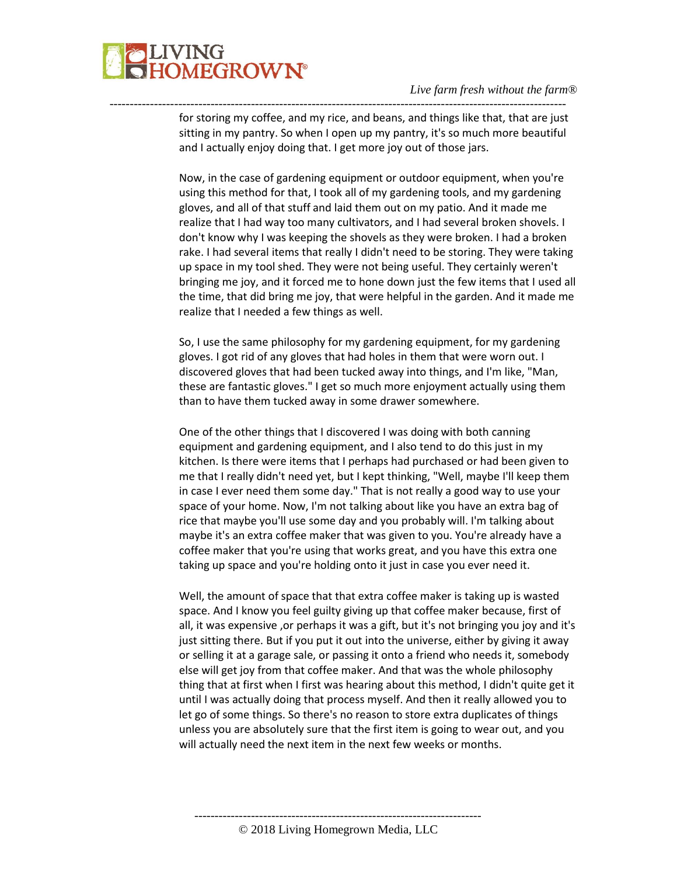

---------------------------------------------------------------------------------------------------------------- for storing my coffee, and my rice, and beans, and things like that, that are just sitting in my pantry. So when I open up my pantry, it's so much more beautiful and I actually enjoy doing that. I get more joy out of those jars.

> Now, in the case of gardening equipment or outdoor equipment, when you're using this method for that, I took all of my gardening tools, and my gardening gloves, and all of that stuff and laid them out on my patio. And it made me realize that I had way too many cultivators, and I had several broken shovels. I don't know why I was keeping the shovels as they were broken. I had a broken rake. I had several items that really I didn't need to be storing. They were taking up space in my tool shed. They were not being useful. They certainly weren't bringing me joy, and it forced me to hone down just the few items that I used all the time, that did bring me joy, that were helpful in the garden. And it made me realize that I needed a few things as well.

So, I use the same philosophy for my gardening equipment, for my gardening gloves. I got rid of any gloves that had holes in them that were worn out. I discovered gloves that had been tucked away into things, and I'm like, "Man, these are fantastic gloves." I get so much more enjoyment actually using them than to have them tucked away in some drawer somewhere.

One of the other things that I discovered I was doing with both canning equipment and gardening equipment, and I also tend to do this just in my kitchen. Is there were items that I perhaps had purchased or had been given to me that I really didn't need yet, but I kept thinking, "Well, maybe I'll keep them in case I ever need them some day." That is not really a good way to use your space of your home. Now, I'm not talking about like you have an extra bag of rice that maybe you'll use some day and you probably will. I'm talking about maybe it's an extra coffee maker that was given to you. You're already have a coffee maker that you're using that works great, and you have this extra one taking up space and you're holding onto it just in case you ever need it.

Well, the amount of space that that extra coffee maker is taking up is wasted space. And I know you feel guilty giving up that coffee maker because, first of all, it was expensive ,or perhaps it was a gift, but it's not bringing you joy and it's just sitting there. But if you put it out into the universe, either by giving it away or selling it at a garage sale, or passing it onto a friend who needs it, somebody else will get joy from that coffee maker. And that was the whole philosophy thing that at first when I first was hearing about this method, I didn't quite get it until I was actually doing that process myself. And then it really allowed you to let go of some things. So there's no reason to store extra duplicates of things unless you are absolutely sure that the first item is going to wear out, and you will actually need the next item in the next few weeks or months.